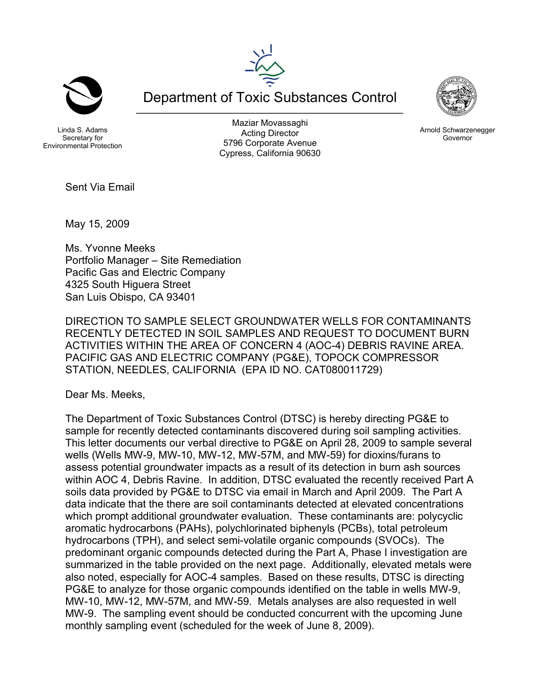



Linda S. Adams Secretary for Environmental Protection

Maziar Movassaghi Acting Director 5796 Corporate Avenue Cypress, California 90630

Department of Toxic Substances Control



Arnold Schwarzenegger Governor

Sent Via Email

May 15, 2009

Ms. Yvonne Meeks Portfolio Manager – Site Remediation Pacific Gas and Electric Company 4325 South Higuera Street San Luis Obispo, CA 93401

DIRECTION TO SAMPLE SELECT GROUNDWATER WELLS FOR CONTAMINANTS RECENTLY DETECTED IN SOIL SAMPLES AND REQUEST TO DOCUMENT BURN ACTIVITIES WITHIN THE AREA OF CONCERN 4 (AOC-4) DEBRIS RAVINE AREA. PACIFIC GAS AND ELECTRIC COMPANY (PG&E), TOPOCK COMPRESSOR STATION, NEEDLES, CALIFORNIA (EPA ID NO. CAT080011729)

Dear Ms. Meeks,

The Department of Toxic Substances Control (DTSC) is hereby directing PG&E to sample for recently detected contaminants discovered during soil sampling activities. This letter documents our verbal directive to PG&E on April 28, 2009 to sample several wells (Wells MW-9, MW-10, MW-12, MW-57M, and MW-59) for dioxins/furans to assess potential groundwater impacts as a result of its detection in burn ash sources within AOC 4, Debris Ravine. In addition, DTSC evaluated the recently received Part A soils data provided by PG&E to DTSC via email in March and April 2009. The Part A data indicate that the there are soil contaminants detected at elevated concentrations which prompt additional groundwater evaluation. These contaminants are: polycyclic aromatic hydrocarbons (PAHs), polychlorinated biphenyls (PCBs), total petroleum hydrocarbons (TPH), and select semi-volatile organic compounds (SVOCs). The predominant organic compounds detected during the Part A, Phase I investigation are summarized in the table provided on the next page. Additionally, elevated metals were also noted, especially for AOC-4 samples. Based on these results, DTSC is directing PG&E to analyze for those organic compounds identified on the table in wells MW-9, MW-10, MW-12, MW-57M, and MW-59. Metals analyses are also requested in well MW-9. The sampling event should be conducted concurrent with the upcoming June monthly sampling event (scheduled for the week of June 8, 2009).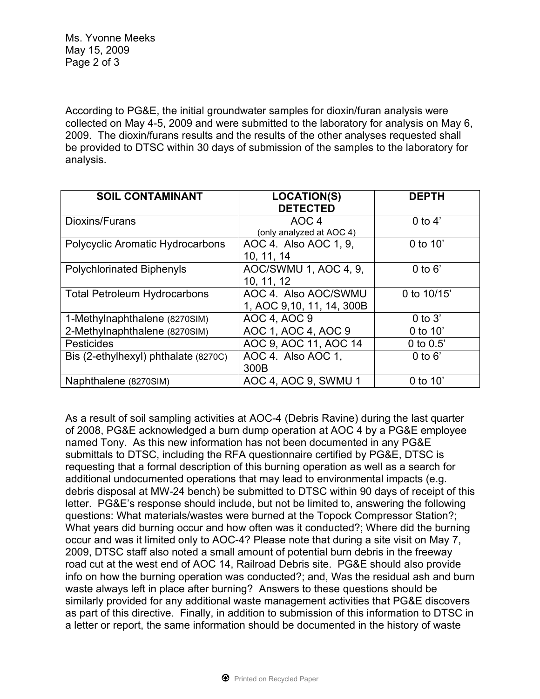According to PG&E, the initial groundwater samples for dioxin/furan analysis were collected on May 4-5, 2009 and were submitted to the laboratory for analysis on May 6, 2009. The dioxin/furans results and the results of the other analyses requested shall be provided to DTSC within 30 days of submission of the samples to the laboratory for analysis.

| <b>SOIL CONTAMINANT</b>                 | <b>LOCATION(S)</b>         | <b>DEPTH</b> |
|-----------------------------------------|----------------------------|--------------|
|                                         | <b>DETECTED</b>            |              |
| Dioxins/Furans                          | AOC <sub>4</sub>           | 0 to $4'$    |
|                                         | (only analyzed at AOC 4)   |              |
| <b>Polycyclic Aromatic Hydrocarbons</b> | AOC 4. Also AOC 1, 9,      | $0$ to $10'$ |
|                                         | 10, 11, 14                 |              |
| <b>Polychlorinated Biphenyls</b>        | AOC/SWMU 1, AOC 4, 9,      | $0$ to $6'$  |
|                                         | 10, 11, 12                 |              |
| <b>Total Petroleum Hydrocarbons</b>     | AOC 4. Also AOC/SWMU       | 0 to 10/15'  |
|                                         | 1, AOC 9, 10, 11, 14, 300B |              |
| 1-Methylnaphthalene (8270SIM)           | AOC 4, AOC 9               | $0$ to $3'$  |
| 2-Methylnaphthalene (8270SIM)           | AOC 1, AOC 4, AOC 9        | 0 to $10'$   |
| <b>Pesticides</b>                       | AOC 9, AOC 11, AOC 14      | 0 to $0.5$   |
| Bis (2-ethylhexyl) phthalate (8270C)    | AOC 4. Also AOC 1,         | $0$ to $6'$  |
|                                         | 300B                       |              |
| Naphthalene (8270SIM)                   | AOC 4, AOC 9, SWMU 1       | $0$ to $10'$ |

As a result of soil sampling activities at AOC-4 (Debris Ravine) during the last quarter of 2008, PG&E acknowledged a burn dump operation at AOC 4 by a PG&E employee named Tony. As this new information has not been documented in any PG&E submittals to DTSC, including the RFA questionnaire certified by PG&E, DTSC is requesting that a formal description of this burning operation as well as a search for additional undocumented operations that may lead to environmental impacts (e.g. debris disposal at MW-24 bench) be submitted to DTSC within 90 days of receipt of this letter. PG&E's response should include, but not be limited to, answering the following questions: What materials/wastes were burned at the Topock Compressor Station?; What years did burning occur and how often was it conducted?; Where did the burning occur and was it limited only to AOC-4? Please note that during a site visit on May 7, 2009, DTSC staff also noted a small amount of potential burn debris in the freeway road cut at the west end of AOC 14, Railroad Debris site. PG&E should also provide info on how the burning operation was conducted?; and, Was the residual ash and burn waste always left in place after burning? Answers to these questions should be similarly provided for any additional waste management activities that PG&E discovers as part of this directive. Finally, in addition to submission of this information to DTSC in a letter or report, the same information should be documented in the history of waste